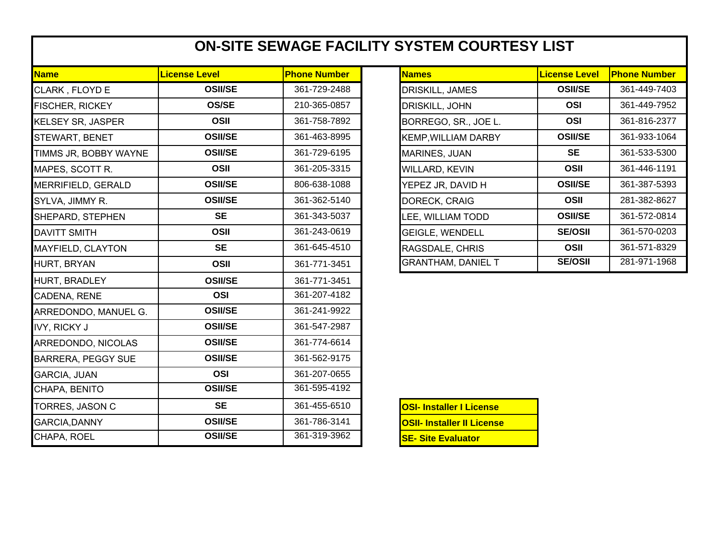## **ON-SITE SEWAGE FACILITY SYSTEM COURTESY LIST**

| <b>Name</b>               | <b>License Level</b> | <b>Phone Number</b> | <b>Names</b>                      | <b>License Level</b> | <b>Phone Number</b> |
|---------------------------|----------------------|---------------------|-----------------------------------|----------------------|---------------------|
| CLARK, FLOYD E            | <b>OSII/SE</b>       | 361-729-2488        | DRISKILL, JAMES                   | <b>OSII/SE</b>       | 361-449-7403        |
| <b>FISCHER, RICKEY</b>    | <b>OS/SE</b>         | 210-365-0857        | DRISKILL, JOHN                    | <b>OSI</b>           | 361-449-7952        |
| <b>KELSEY SR, JASPER</b>  | <b>OSII</b>          | 361-758-7892        | BORREGO, SR., JOE L.              | <b>OSI</b>           | 361-816-2377        |
| STEWART, BENET            | <b>OSII/SE</b>       | 361-463-8995        | <b>KEMP, WILLIAM DARBY</b>        | <b>OSII/SE</b>       | 361-933-1064        |
| TIMMS JR, BOBBY WAYNE     | <b>OSII/SE</b>       | 361-729-6195        | <b>MARINES, JUAN</b>              | <b>SE</b>            | 361-533-5300        |
| MAPES, SCOTT R.           | OSII                 | 361-205-3315        | WILLARD, KEVIN                    | OSII                 | 361-446-1191        |
| MERRIFIELD, GERALD        | <b>OSII/SE</b>       | 806-638-1088        | YEPEZ JR, DAVID H                 | <b>OSII/SE</b>       | 361-387-5393        |
| SYLVA, JIMMY R.           | <b>OSII/SE</b>       | 361-362-5140        | DORECK, CRAIG                     | OSII                 | 281-382-8627        |
| SHEPARD, STEPHEN          | <b>SE</b>            | 361-343-5037        | LEE, WILLIAM TODD                 | <b>OSII/SE</b>       | 361-572-0814        |
| <b>DAVITT SMITH</b>       | <b>OSII</b>          | 361-243-0619        | <b>GEIGLE, WENDELL</b>            | <b>SE/OSII</b>       | 361-570-0203        |
| MAYFIELD, CLAYTON         | <b>SE</b>            | 361-645-4510        | RAGSDALE, CHRIS                   | OSII                 | 361-571-8329        |
| HURT, BRYAN               | OSII                 | 361-771-3451        | <b>GRANTHAM, DANIEL T</b>         | <b>SE/OSII</b>       | 281-971-1968        |
| <b>HURT, BRADLEY</b>      | <b>OSII/SE</b>       | 361-771-3451        |                                   |                      |                     |
| <b>CADENA, RENE</b>       | <b>OSI</b>           | 361-207-4182        |                                   |                      |                     |
| ARREDONDO, MANUEL G.      | <b>OSII/SE</b>       | 361-241-9922        |                                   |                      |                     |
| <b>IVY, RICKY J</b>       | <b>OSII/SE</b>       | 361-547-2987        |                                   |                      |                     |
| ARREDONDO, NICOLAS        | <b>OSII/SE</b>       | 361-774-6614        |                                   |                      |                     |
| <b>BARRERA, PEGGY SUE</b> | <b>OSII/SE</b>       | 361-562-9175        |                                   |                      |                     |
| <b>GARCIA, JUAN</b>       | <b>OSI</b>           | 361-207-0655        |                                   |                      |                     |
| CHAPA, BENITO             | <b>OSII/SE</b>       | 361-595-4192        |                                   |                      |                     |
| TORRES, JASON C           | <b>SE</b>            | 361-455-6510        | <b>OSI- Installer I License</b>   |                      |                     |
| <b>GARCIA, DANNY</b>      | <b>OSII/SE</b>       | 361-786-3141        | <b>OSII- Installer II License</b> |                      |                     |
| CHAPA, ROEL               | <b>OSII/SE</b>       | 361-319-3962        | <b>SE- Site Evaluator</b>         |                      |                     |

| <b>Names</b>               | <b>License Level</b> | <b>Phone Number</b> |
|----------------------------|----------------------|---------------------|
| DRISKILL, JAMES            | <b>OSII/SE</b>       | 361-449-7403        |
| DRISKILL, JOHN             | OSI                  | 361-449-7952        |
| BORREGO, SR., JOE L.       | OSI                  | 361-816-2377        |
| <b>KEMP, WILLIAM DARBY</b> | <b>OSII/SE</b>       | 361-933-1064        |
| <b>MARINES, JUAN</b>       | SE                   | 361-533-5300        |
| <b>WILLARD, KEVIN</b>      | OSII                 | 361-446-1191        |
| YEPEZ JR, DAVID H          | <b>OSII/SE</b>       | 361-387-5393        |
| DORECK, CRAIG              | OSII                 | 281-382-8627        |
| LEE, WILLIAM TODD          | <b>OSII/SE</b>       | 361-572-0814        |
| <b>GEIGLE, WENDELL</b>     | <b>SE/OSII</b>       | 361-570-0203        |
| RAGSDALE, CHRIS            | OSII                 | 361-571-8329        |
| GRANTHAM, DANIEL T         | <b>SE/OSII</b>       | 281-971-1968        |

| <b>OSI- Installer I License</b>   |
|-----------------------------------|
| <b>OSII- Installer II License</b> |
| <b>SE- Site Evaluator</b>         |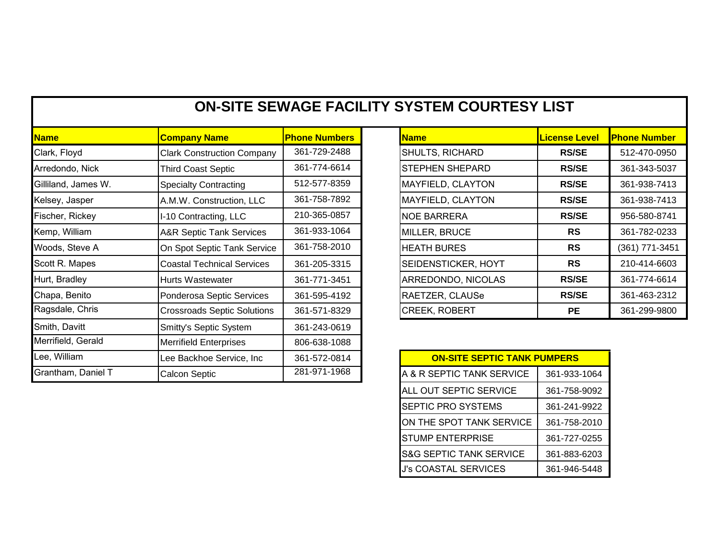| <b>ON-SITE SEWAGE FACILITY SYSTEM COURTESY LIST</b> |
|-----------------------------------------------------|
|-----------------------------------------------------|

| <b>Name</b>         | <b>Company Name</b>                 | <b>Phone Numbers</b> | <b>Name</b>                        | <mark>License Level</mark> | <b>Phone Number</b> |
|---------------------|-------------------------------------|----------------------|------------------------------------|----------------------------|---------------------|
| Clark, Floyd        | <b>Clark Construction Company</b>   | 361-729-2488         | SHULTS, RICHARD                    | <b>RS/SE</b>               | 512-470-0950        |
| Arredondo, Nick     | <b>Third Coast Septic</b>           | 361-774-6614         | <b>STEPHEN SHEPARD</b>             | <b>RS/SE</b>               | 361-343-5037        |
| Gilliland, James W. | <b>Specialty Contracting</b>        | 512-577-8359         | MAYFIELD, CLAYTON                  | <b>RS/SE</b>               | 361-938-7413        |
| Kelsey, Jasper      | A.M.W. Construction, LLC            | 361-758-7892         | MAYFIELD, CLAYTON                  | <b>RS/SE</b>               | 361-938-7413        |
| Fischer, Rickey     | I-10 Contracting, LLC               | 210-365-0857         | <b>NOE BARRERA</b>                 | <b>RS/SE</b>               | 956-580-8741        |
| Kemp, William       | <b>A&amp;R Septic Tank Services</b> | 361-933-1064         | MILLER, BRUCE                      | <b>RS</b>                  | 361-782-0233        |
| Woods, Steve A      | On Spot Septic Tank Service         | 361-758-2010         | <b>HEATH BURES</b>                 | <b>RS</b>                  | (361) 771-3451      |
| Scott R. Mapes      | <b>Coastal Technical Services</b>   | 361-205-3315         | SEIDENSTICKER, HOYT                | <b>RS</b>                  | 210-414-6603        |
| Hurt, Bradley       | Hurts Wastewater                    | 361-771-3451         | ARREDONDO, NICOLAS                 | <b>RS/SE</b>               | 361-774-6614        |
| Chapa, Benito       | Ponderosa Septic Services           | 361-595-4192         | RAETZER, CLAUSe                    | <b>RS/SE</b>               | 361-463-2312        |
| Ragsdale, Chris     | <b>Crossroads Septic Solutions</b>  | 361-571-8329         | CREEK, ROBERT                      | <b>PE</b>                  | 361-299-9800        |
| Smith, Davitt       | Smitty's Septic System              | 361-243-0619         |                                    |                            |                     |
| Merrifield, Gerald  | <b>Merrifield Enterprises</b>       | 806-638-1088         |                                    |                            |                     |
| Lee, William        | Lee Backhoe Service, Inc            | 361-572-0814         | <b>ON-SITE SEPTIC TANK PUMPERS</b> |                            |                     |
| Grantham, Daniel T  | <b>Calcon Septic</b>                | 281-971-1968         | A & R SEPTIC TANK SERVICE          | 361-933-1064               |                     |

| <b>Name</b>            | <b>License Level</b> | <b>Phone Number</b> |
|------------------------|----------------------|---------------------|
| <b>SHULTS, RICHARD</b> | <b>RS/SE</b>         | 512-470-0950        |
| <b>STEPHEN SHEPARD</b> | <b>RS/SE</b>         | 361-343-5037        |
| MAYFIELD, CLAYTON      | <b>RS/SE</b>         | 361-938-7413        |
| MAYFIELD, CLAYTON      | <b>RS/SE</b>         | 361-938-7413        |
| <b>NOE BARRERA</b>     | <b>RS/SE</b>         | 956-580-8741        |
| MILLER, BRUCE          | RS                   | 361-782-0233        |
| <b>HEATH BURES</b>     | <b>RS</b>            | (361) 771-3451      |
| SEIDENSTICKER, HOYT    | <b>RS</b>            | 210-414-6603        |
| ARREDONDO, NICOLAS     | <b>RS/SE</b>         | 361-774-6614        |
| RAETZER, CLAUSe        | <b>RS/SE</b>         | 361-463-2312        |
| <b>CREEK, ROBERT</b>   | PЕ                   | 361-299-9800        |

| <b>ON-SITE SEPTIC TANK PUMPERS</b> |              |  |  |
|------------------------------------|--------------|--|--|
| A & R SEPTIC TANK SERVICE          | 361-933-1064 |  |  |
| ALL OUT SEPTIC SERVICE             | 361-758-9092 |  |  |
| <b>SEPTIC PRO SYSTEMS</b>          | 361-241-9922 |  |  |
| ON THE SPOT TANK SERVICE           | 361-758-2010 |  |  |
| <b>STUMP ENTERPRISE</b>            | 361-727-0255 |  |  |
| <b>S&amp;G SEPTIC TANK SERVICE</b> | 361-883-6203 |  |  |
| <b>J's COASTAL SERVICES</b>        | 361-946-5448 |  |  |